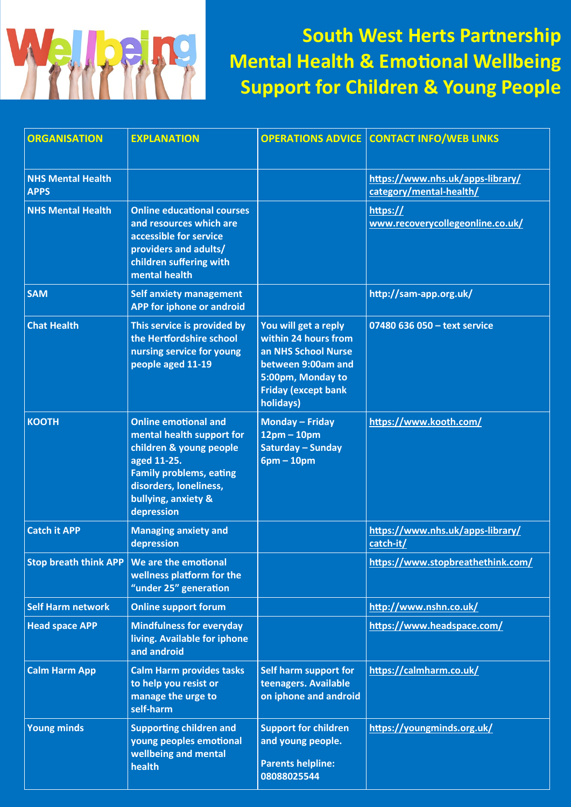

**South West Herts Partnership Mental Health & Emotional Wellbeing Support for Children & Young People**

| <b>ORGANISATION</b>                     | <b>EXPLANATION</b>                                                                                                                                                                                  |                                                                                                                                                           | <b>OPERATIONS ADVICE CONTACT INFO/WEB LINKS</b>             |
|-----------------------------------------|-----------------------------------------------------------------------------------------------------------------------------------------------------------------------------------------------------|-----------------------------------------------------------------------------------------------------------------------------------------------------------|-------------------------------------------------------------|
| <b>NHS Mental Health</b><br><b>APPS</b> |                                                                                                                                                                                                     |                                                                                                                                                           | https://www.nhs.uk/apps-library/<br>category/mental-health/ |
| <b>NHS Mental Health</b>                | <b>Online educational courses</b><br>and resources which are<br>accessible for service<br>providers and adults/<br>children suffering with<br>mental health                                         |                                                                                                                                                           | https://<br>www.recoverycollegeonline.co.uk/                |
| <b>SAM</b>                              | <b>Self anxiety management</b><br>APP for iphone or android                                                                                                                                         |                                                                                                                                                           | http://sam-app.org.uk/                                      |
| <b>Chat Health</b>                      | This service is provided by<br>the Hertfordshire school<br>nursing service for young<br>people aged 11-19                                                                                           | You will get a reply<br>within 24 hours from<br>an NHS School Nurse<br>between 9:00am and<br>5:00pm, Monday to<br><b>Friday (except bank</b><br>holidays) | 07480 636 050 - text service                                |
| <b>KOOTH</b>                            | <b>Online emotional and</b><br>mental health support for<br>children & young people<br>aged 11-25.<br><b>Family problems, eating</b><br>disorders, loneliness,<br>bullying, anxiety &<br>depression | <b>Monday - Friday</b><br>$12pm - 10pm$<br>Saturday - Sunday<br>$6pm - 10pm$                                                                              | https://www.kooth.com/                                      |
| <b>Catch it APP</b>                     | <b>Managing anxiety and</b><br>depression                                                                                                                                                           |                                                                                                                                                           | https://www.nhs.uk/apps-library/<br>catch-it/               |
|                                         | Stop breath think APP   We are the emotional<br>wellness platform for the<br>"under 25" generation                                                                                                  |                                                                                                                                                           | https://www.stopbreathethink.com/                           |
| <b>Self Harm network</b>                | <b>Online support forum</b>                                                                                                                                                                         |                                                                                                                                                           | http://www.nshn.co.uk/                                      |
| <b>Head space APP</b>                   | <b>Mindfulness for everyday</b><br>living. Available for iphone<br>and android                                                                                                                      |                                                                                                                                                           | https://www.headspace.com/                                  |
| <b>Calm Harm App</b>                    | <b>Calm Harm provides tasks</b><br>to help you resist or<br>manage the urge to<br>self-harm                                                                                                         | Self harm support for<br>teenagers. Available<br>on iphone and android                                                                                    | https://calmharm.co.uk/                                     |
| <b>Young minds</b>                      | <b>Supporting children and</b><br>young peoples emotional<br>wellbeing and mental<br>health                                                                                                         | <b>Support for children</b><br>and young people.<br><b>Parents helpline:</b><br>08088025544                                                               | https://youngminds.org.uk/                                  |